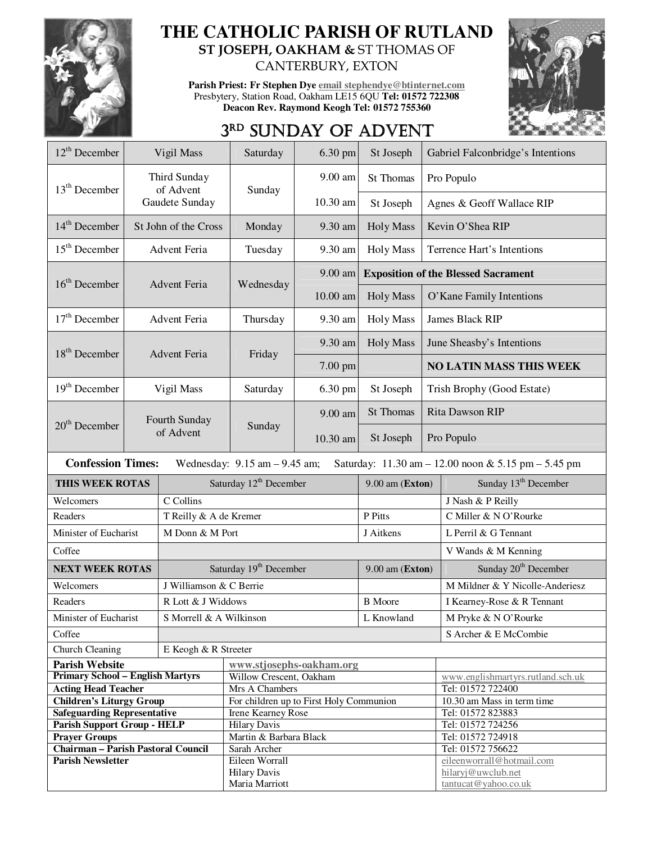

## **THE CATHOLIC PARISH OF RUTLAND ST JOSEPH, OAKHAM &** ST THOMAS OF

CANTERBURY, EXTON

**Parish Priest: Fr Stephen Dye email stephendye@btinternet.com** Presbytery, Station Road, Oakham LE15 6QU **Tel: 01572 722308 Deacon Rev. Raymond Keogh Tel: 01572 755360** 



## 3RD SUNDAY OF ADVENT

| $12^{\text{th}}$ December                                                                                           |                      | Vigil Mass                | Saturday                                | 6.30 pm               | St Joseph            | Gabriel Falconbridge's Intentions              |  |  |
|---------------------------------------------------------------------------------------------------------------------|----------------------|---------------------------|-----------------------------------------|-----------------------|----------------------|------------------------------------------------|--|--|
| $13th$ December                                                                                                     |                      | Third Sunday<br>of Advent | Sunday                                  | $9.00$ am             | <b>St Thomas</b>     | Pro Populo                                     |  |  |
|                                                                                                                     |                      | Gaudete Sunday            |                                         | 10.30 am              | St Joseph            | Agnes & Geoff Wallace RIP                      |  |  |
| $14th$ December                                                                                                     | St John of the Cross |                           | Monday                                  | 9.30 am               | <b>Holy Mass</b>     | Kevin O'Shea RIP                               |  |  |
| $15th$ December                                                                                                     | Advent Feria         |                           | Tuesday                                 | 9.30 am               | <b>Holy Mass</b>     | Terrence Hart's Intentions                     |  |  |
| $16th$ December<br>Advent Feria                                                                                     |                      |                           |                                         | 9.00 am               |                      | <b>Exposition of the Blessed Sacrament</b>     |  |  |
|                                                                                                                     |                      |                           | Wednesday                               | 10.00 am              | <b>Holy Mass</b>     | O'Kane Family Intentions                       |  |  |
| $17th$ December                                                                                                     | <b>Advent Feria</b>  |                           | Thursday                                | 9.30 am               | <b>Holy Mass</b>     | James Black RIP                                |  |  |
| $18th$ December                                                                                                     |                      |                           | Friday                                  | 9.30 am               | <b>Holy Mass</b>     | June Sheasby's Intentions                      |  |  |
|                                                                                                                     | Advent Feria         |                           |                                         | 7.00 pm               |                      | <b>NO LATIN MASS THIS WEEK</b>                 |  |  |
| $19th$ December                                                                                                     |                      | Vigil Mass                | Saturday                                | 6.30 pm               | St Joseph            | Trish Brophy (Good Estate)                     |  |  |
|                                                                                                                     |                      | Fourth Sunday             |                                         | 9.00 am               | <b>St Thomas</b>     | Rita Dawson RIP                                |  |  |
| $20th$ December<br>of Advent                                                                                        |                      |                           | Sunday                                  | 10.30 am              | St Joseph            | Pro Populo                                     |  |  |
| <b>Confession Times:</b><br>Wednesday: $9.15$ am $-9.45$ am;<br>Saturday: 11.30 am - 12.00 noon & 5.15 pm - 5.45 pm |                      |                           |                                         |                       |                      |                                                |  |  |
| <b>THIS WEEK ROTAS</b>                                                                                              |                      |                           | Saturday 12 <sup>th</sup> December      |                       | $9.00$ am (Exton)    | Sunday 13 <sup>th</sup> December               |  |  |
| Welcomers                                                                                                           | C Collins            |                           |                                         |                       |                      | J Nash & P Reilly                              |  |  |
| Readers<br>T Reilly & A de Kremer                                                                                   |                      |                           |                                         | P Pitts               | C Miller & NO'Rourke |                                                |  |  |
| Minister of Eucharist                                                                                               |                      | M Donn & M Port           |                                         |                       | J Aitkens            | L Perril & G Tennant                           |  |  |
| Coffee                                                                                                              |                      |                           |                                         |                       |                      | V Wands & M Kenning                            |  |  |
| <b>NEXT WEEK ROTAS</b>                                                                                              |                      |                           | Saturday 19 <sup>th</sup> December      |                       | $9.00$ am (Exton)    | Sunday 20 <sup>th</sup> December               |  |  |
| Welcomers                                                                                                           |                      | J Williamson & C Berrie   |                                         |                       |                      | M Mildner & Y Nicolle-Anderiesz                |  |  |
| Readers                                                                                                             |                      |                           | R Lott & J Widdows                      |                       |                      | I Kearney-Rose & R Tennant                     |  |  |
| Minister of Eucharist                                                                                               |                      |                           | S Morrell & A Wilkinson                 |                       |                      | M Pryke & N O'Rourke                           |  |  |
| Coffee                                                                                                              |                      |                           |                                         | S Archer & E McCombie |                      |                                                |  |  |
| <b>Church Cleaning</b>                                                                                              | E Keogh & R Streeter |                           |                                         |                       |                      |                                                |  |  |
| <b>Parish Website</b>                                                                                               |                      | www.stjosephs-oakham.org  |                                         |                       |                      |                                                |  |  |
| <b>Primary School - English Martyrs</b>                                                                             |                      |                           | Willow Crescent, Oakham                 |                       |                      | www.englishmartyrs.rutland.sch.uk              |  |  |
| <b>Acting Head Teacher</b>                                                                                          |                      |                           | Mrs A Chambers                          |                       |                      |                                                |  |  |
|                                                                                                                     |                      |                           |                                         |                       |                      | Tel: 01572 722400                              |  |  |
| <b>Children's Liturgy Group</b>                                                                                     |                      |                           | For children up to First Holy Communion |                       |                      | 10.30 am Mass in term time                     |  |  |
| <b>Safeguarding Representative</b>                                                                                  |                      |                           | Irene Kearney Rose                      |                       |                      | Tel: 01572 823883                              |  |  |
| <b>Parish Support Group - HELP</b>                                                                                  |                      |                           | <b>Hilary Davis</b>                     |                       |                      | Tel: 01572 724256                              |  |  |
| <b>Prayer Groups</b>                                                                                                |                      |                           | Martin & Barbara Black<br>Sarah Archer  |                       |                      | Tel: 01572 724918                              |  |  |
| <b>Chairman - Parish Pastoral Council</b><br><b>Parish Newsletter</b>                                               |                      |                           | Eileen Worrall                          |                       |                      | Tel: 01572 756622<br>eileenworrall@hotmail.com |  |  |
|                                                                                                                     |                      |                           | <b>Hilary Davis</b><br>Maria Marriott   |                       |                      | hilaryj@uwclub.net<br>tantucat@yahoo.co.uk     |  |  |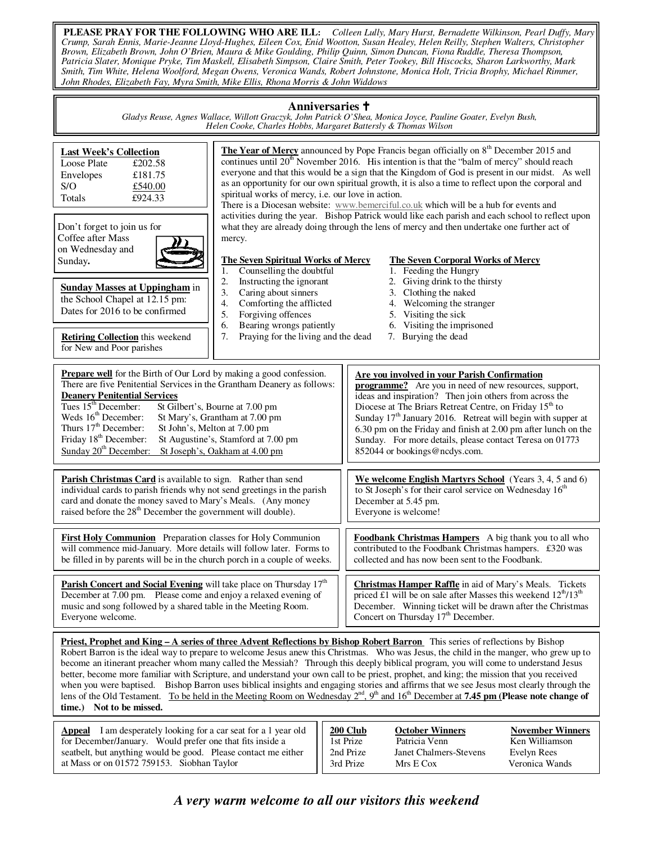**PLEASE PRAY FOR THE FOLLOWING WHO ARE ILL:** *Colleen Lully, Mary Hurst, Bernadette Wilkinson, Pearl Duffy, Mary Crump, Sarah Ennis, Marie-Jeanne Lloyd-Hughes, Eileen Cox, Enid Wootton, Susan Healey, Helen Reilly, Stephen Walters, Christopher Brown, Elizabeth Brown, John O'Brien, Maura & Mike Goulding, Philip Quinn, Simon Duncan, Fiona Ruddle, Theresa Thompson, Patricia Slater, Monique Pryke, Tim Maskell, Elisabeth Simpson, Claire Smith, Peter Tookey, Bill Hiscocks, Sharon Larkworthy, Mark Smith, Tim White, Helena Woolford, Megan Owens, Veronica Wands, Robert Johnstone, Monica Holt, Tricia Brophy, Michael Rimmer, John Rhodes, Elizabeth Fay, Myra Smith, Mike Ellis, Rhona Morris & John Widdows*

#### **Anniversaries**

*Gladys Reuse, Agnes Wallace, Willott Graczyk, John Patrick O'Shea, Monica Joyce, Pauline Goater, Evelyn Bush, Helen Cooke, Charles Hobbs, Margaret Battersly & Thomas Wilson* 

| <b>Last Week's Collection</b><br>£202.58<br>Loose Plate<br>£181.75<br>Envelopes<br>S/O<br>£540.00<br>£924.33<br>Totals<br>Don't forget to join us for<br>Coffee after Mass<br>on Wednesday and<br>Sunday.<br><b>Sunday Masses at Uppingham</b> in<br>the School Chapel at 12.15 pm:<br>Dates for 2016 to be confirmed<br><b>Retiring Collection</b> this weekend<br>for New and Poor parishes                                                                                                                                                                                                                                                                                                                                                                                                                                                                                                  | spiritual works of mercy, i.e. our love in action.<br>mercy.<br><b>The Seven Spiritual Works of Mercy</b><br>Counselling the doubtful<br>1.<br>2.<br>Instructing the ignorant<br>3.<br>Caring about sinners<br>4.<br>Comforting the afflicted<br>5.<br>Forgiving offences<br>6.<br>Bearing wrongs patiently<br>7.<br>Praying for the living and the dead | The Year of Mercy announced by Pope Francis began officially on 8 <sup>th</sup> December 2015 and<br>continues until $20th$ November 2016. His intention is that the "balm of mercy" should reach<br>everyone and that this would be a sign that the Kingdom of God is present in our midst. As well<br>as an opportunity for our own spiritual growth, it is also a time to reflect upon the corporal and<br>There is a Diocesan website: www.bemerciful.co.uk which will be a hub for events and<br>activities during the year. Bishop Patrick would like each parish and each school to reflect upon<br>what they are already doing through the lens of mercy and then undertake one further act of<br><b>The Seven Corporal Works of Mercy</b><br>1. Feeding the Hungry<br>2. Giving drink to the thirsty<br>3. Clothing the naked<br>4. Welcoming the stranger<br>5. Visiting the sick<br>6. Visiting the imprisoned<br>7. Burying the dead |  |  |  |  |
|------------------------------------------------------------------------------------------------------------------------------------------------------------------------------------------------------------------------------------------------------------------------------------------------------------------------------------------------------------------------------------------------------------------------------------------------------------------------------------------------------------------------------------------------------------------------------------------------------------------------------------------------------------------------------------------------------------------------------------------------------------------------------------------------------------------------------------------------------------------------------------------------|----------------------------------------------------------------------------------------------------------------------------------------------------------------------------------------------------------------------------------------------------------------------------------------------------------------------------------------------------------|--------------------------------------------------------------------------------------------------------------------------------------------------------------------------------------------------------------------------------------------------------------------------------------------------------------------------------------------------------------------------------------------------------------------------------------------------------------------------------------------------------------------------------------------------------------------------------------------------------------------------------------------------------------------------------------------------------------------------------------------------------------------------------------------------------------------------------------------------------------------------------------------------------------------------------------------------|--|--|--|--|
| <b>Prepare well</b> for the Birth of Our Lord by making a good confession.<br>There are five Penitential Services in the Grantham Deanery as follows:<br><b>Deanery Penitential Services</b><br>Tues $15th$ December:<br>Weds 16 <sup>th</sup> December:<br>Thurs 17 <sup>th</sup> December:<br>Friday 18 <sup>th</sup> December:<br>Sunday 20 <sup>th</sup> December:                                                                                                                                                                                                                                                                                                                                                                                                                                                                                                                         | St Gilbert's, Bourne at 7.00 pm<br>St Mary's, Grantham at 7.00 pm<br>St John's, Melton at 7.00 pm<br>St Augustine's, Stamford at 7.00 pm<br>St Joseph's, Oakham at 4.00 pm                                                                                                                                                                               | Are you involved in your Parish Confirmation<br><b>programme?</b> Are you in need of new resources, support,<br>ideas and inspiration? Then join others from across the<br>Diocese at The Briars Retreat Centre, on Friday 15 <sup>th</sup> to<br>Sunday 17 <sup>th</sup> January 2016. Retreat will begin with supper at<br>6.30 pm on the Friday and finish at 2.00 pm after lunch on the<br>Sunday. For more details, please contact Teresa on 01773<br>852044 or bookings@ncdys.com.                                                                                                                                                                                                                                                                                                                                                                                                                                                         |  |  |  |  |
| Parish Christmas Card is available to sign. Rather than send<br>individual cards to parish friends why not send greetings in the parish<br>card and donate the money saved to Mary's Meals. (Any money<br>raised before the $28th$ December the government will double).                                                                                                                                                                                                                                                                                                                                                                                                                                                                                                                                                                                                                       |                                                                                                                                                                                                                                                                                                                                                          | We welcome English Martyrs School (Years 3, 4, 5 and 6)<br>to St Joseph's for their carol service on Wednesday 16 <sup>th</sup><br>December at 5.45 pm.<br>Everyone is welcome!                                                                                                                                                                                                                                                                                                                                                                                                                                                                                                                                                                                                                                                                                                                                                                  |  |  |  |  |
| <b>First Holy Communion</b> Preparation classes for Holy Communion<br>will commence mid-January. More details will follow later. Forms to<br>be filled in by parents will be in the church porch in a couple of weeks.                                                                                                                                                                                                                                                                                                                                                                                                                                                                                                                                                                                                                                                                         |                                                                                                                                                                                                                                                                                                                                                          | Foodbank Christmas Hampers A big thank you to all who<br>contributed to the Foodbank Christmas hampers. £320 was<br>collected and has now been sent to the Foodbank.                                                                                                                                                                                                                                                                                                                                                                                                                                                                                                                                                                                                                                                                                                                                                                             |  |  |  |  |
| Parish Concert and Social Evening will take place on Thursday 17 <sup>th</sup><br>December at 7.00 pm. Please come and enjoy a relaxed evening of<br>music and song followed by a shared table in the Meeting Room.<br>Everyone welcome.                                                                                                                                                                                                                                                                                                                                                                                                                                                                                                                                                                                                                                                       |                                                                                                                                                                                                                                                                                                                                                          | Christmas Hamper Raffle in aid of Mary's Meals. Tickets<br>priced £1 will be on sale after Masses this weekend $12^{th}/13^{th}$<br>December. Winning ticket will be drawn after the Christmas<br>Concert on Thursday $17th$ December.                                                                                                                                                                                                                                                                                                                                                                                                                                                                                                                                                                                                                                                                                                           |  |  |  |  |
| Priest, Prophet and King – A series of three Advent Reflections by Bishop Robert Barron This series of reflections by Bishop<br>Robert Barron is the ideal way to prepare to welcome Jesus anew this Christmas. Who was Jesus, the child in the manger, who grew up to<br>become an itinerant preacher whom many called the Messiah? Through this deeply biblical program, you will come to understand Jesus<br>better, become more familiar with Scripture, and understand your own call to be priest, prophet, and king; the mission that you received<br>when you were baptised. Bishop Barron uses biblical insights and engaging stories and affirms that we see Jesus most clearly through the<br>lens of the Old Testament. To be held in the Meeting Room on Wednesday $2^{nd}$ , $9^{th}$ and $16^{th}$ December at <b>7.45 pm (Please note change of</b><br>time.) Not to be missed. |                                                                                                                                                                                                                                                                                                                                                          |                                                                                                                                                                                                                                                                                                                                                                                                                                                                                                                                                                                                                                                                                                                                                                                                                                                                                                                                                  |  |  |  |  |
| <b>Appeal</b> I am desperately looking for a car seat for a 1 year old<br>for December/January. Would prefer one that fits inside a<br>seatbelt, but anything would be good. Please contact me either                                                                                                                                                                                                                                                                                                                                                                                                                                                                                                                                                                                                                                                                                          |                                                                                                                                                                                                                                                                                                                                                          | $200$ Club<br><b>October Winners</b><br><b>November Winners</b><br>Patricia Venn<br>Ken Williamson<br>1st Prize<br><b>Janet Chalmers-Stevens</b><br>2nd Prize<br>Evelyn Rees                                                                                                                                                                                                                                                                                                                                                                                                                                                                                                                                                                                                                                                                                                                                                                     |  |  |  |  |

*A very warm welcome to all our visitors this weekend* 

3rd Prize Mrs E Cox Veronica Wands

at Mass or on 01572 759153. Siobhan Taylor